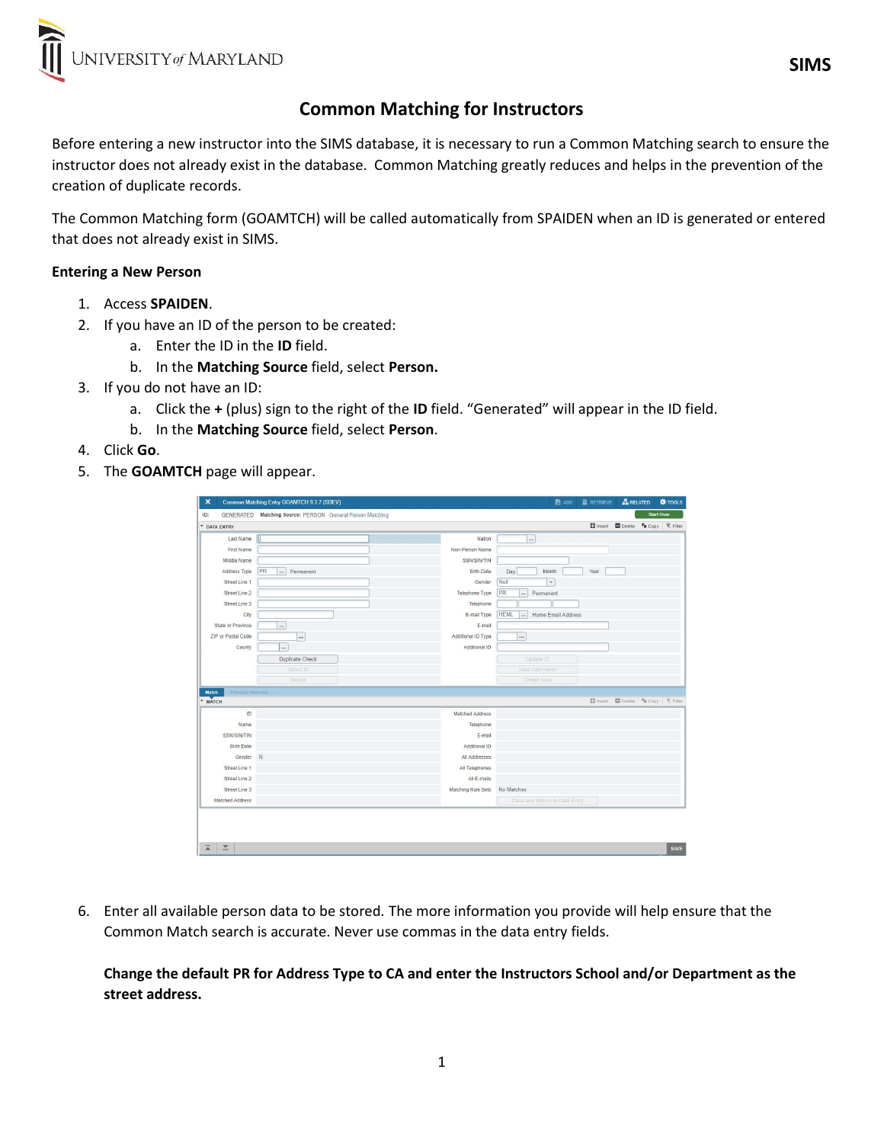

# Common Matching for Instructors

Before entering a new instructor into the SIMS database, it is necessary to run a Common Matching search to ensure the instructor does not already exist in the database. Common Matching greatly reduces and helps in the prevention of the creation of duplicate records.

The Common Matching form (GOAMTCH) will be called automatically from SPAIDEN when an ID is generated or entered that does not already exist in SIMS.

#### Entering a New Person

- 1. Access SPAIDEN.
- 2. If you have an ID of the person to be created:
	- a. Enter the ID in the ID field.
	- b. In the Matching Source field, select Person.
- 3. If you do not have an ID:
	- a. Click the + (plus) sign to the right of the ID field. "Generated" will appear in the ID field.
	- b. In the Matching Source field, select Person.
- 4. Click Go.
- 5. The **GOAMTCH** page will appear.

|                                          | Common Matching Entry GOAMTCH 9.3.7 (SDEV)                |                    | <b>B</b> ADD                                  | <b>RETRIEVE</b> | <b>ARELATED</b>                                      |                   | <b>W</b> TOOLS |
|------------------------------------------|-----------------------------------------------------------|--------------------|-----------------------------------------------|-----------------|------------------------------------------------------|-------------------|----------------|
| ID:                                      | GENERATED Matching Source: PERSON General Person Matching |                    |                                               |                 |                                                      | <b>Start Over</b> |                |
| * DATA ENTRY                             |                                                           |                    |                                               |                 | <b>El Insert El Delete Fa</b> Copy <b>Y</b> , Filter |                   |                |
| Last Name                                |                                                           | Nation             |                                               |                 |                                                      |                   |                |
| First Name                               |                                                           | Non-Person Name    |                                               |                 |                                                      |                   |                |
| Middle Name                              |                                                           | SSN/SIN/TIN        |                                               |                 |                                                      |                   |                |
| Address Type                             | PR<br>$\cdots$<br>Permanent                               | <b>Birth Date</b>  | Day<br>Month                                  | Year            |                                                      |                   |                |
| Street Line 1                            |                                                           | Gender             | Null<br>$\star$                               |                 |                                                      |                   |                |
| Street Line 2                            |                                                           | Telephone Type     | PR<br>Permanent<br>                           |                 |                                                      |                   |                |
| Street Line 3                            |                                                           | Telephone          |                                               |                 |                                                      |                   |                |
| City                                     |                                                           | E-mail Type        | <b>HEML</b><br>Home Email Address<br>$\ldots$ |                 |                                                      |                   |                |
| State or Province                        | $\ddot{\phantom{a}}$                                      | E-mail             |                                               |                 |                                                      |                   |                |
| ZIP or Postal Code                       |                                                           | Additional ID Type | $\cdots$                                      |                 |                                                      |                   |                |
| County                                   | $\ldots$                                                  | Additional ID      |                                               |                 |                                                      |                   |                |
|                                          | Duplicate Check                                           |                    | Update ID                                     |                 |                                                      |                   |                |
|                                          |                                                           |                    |                                               |                 |                                                      |                   |                |
|                                          | Select ID                                                 |                    | <b>View Comments</b>                          |                 |                                                      |                   |                |
|                                          | Details                                                   |                    | Create New                                    |                 |                                                      |                   |                |
| <b>Match</b><br><b>Potential Matches</b> |                                                           |                    |                                               |                 |                                                      |                   |                |
| " MATCH                                  |                                                           |                    |                                               |                 | □ Insert □ Delete 『in Copy   て、Filter                |                   |                |
| ID                                       |                                                           | Matched Address    |                                               |                 |                                                      |                   |                |
| Name                                     |                                                           | Telephone          |                                               |                 |                                                      |                   |                |
| SSN/SIN/TIN                              |                                                           | E-mail             |                                               |                 |                                                      |                   |                |
| <b>Birth Date</b>                        |                                                           | Additional ID      |                                               |                 |                                                      |                   |                |
| Gender                                   | N                                                         | All Addresses      |                                               |                 |                                                      |                   |                |
| Street Line 1                            |                                                           | All Telephones     |                                               |                 |                                                      |                   |                |
| Street Line 2                            |                                                           | All E-mails        |                                               |                 |                                                      |                   |                |
| Street Line 3                            |                                                           | Matching Rule Sets | No Matches                                    |                 |                                                      |                   |                |

6. Enter all available person data to be stored. The more information you provide will help ensure that the Common Match search is accurate. Never use commas in the data entry fields.

Change the default PR for Address Type to CA and enter the Instructors School and/or Department as the street address.